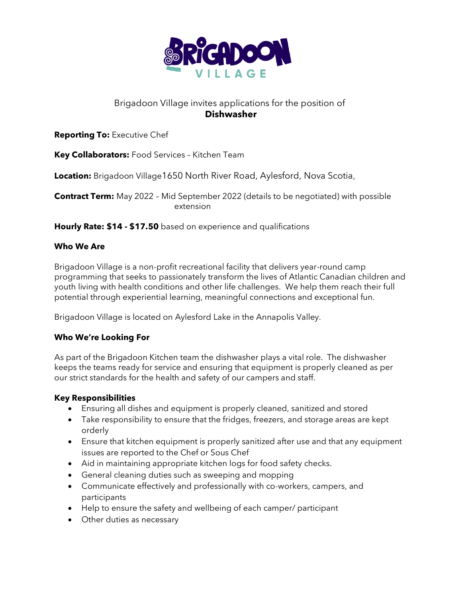

# Brigadoon Village invites applications for the position of **Dishwasher**

**Reporting To:** Executive Chef

**Key Collaborators:** Food Services – Kitchen Team

**Location:** Brigadoon Village1650 North River Road, Aylesford, Nova Scotia,

**Contract Term:** May 2022 – Mid September 2022 (details to be negotiated) with possible extension

**Hourly Rate: \$14 - \$17.50** based on experience and qualifications

# **Who We Are**

Brigadoon Village is a non-profit recreational facility that delivers year-round camp programming that seeks to passionately transform the lives of Atlantic Canadian children and youth living with health conditions and other life challenges. We help them reach their full potential through experiential learning, meaningful connections and exceptional fun.

Brigadoon Village is located on Aylesford Lake in the Annapolis Valley.

# **Who We're Looking For**

As part of the Brigadoon Kitchen team the dishwasher plays a vital role. The dishwasher keeps the teams ready for service and ensuring that equipment is properly cleaned as per our strict standards for the health and safety of our campers and staff.

# **Key Responsibilities**

- Ensuring all dishes and equipment is properly cleaned, sanitized and stored
- Take responsibility to ensure that the fridges, freezers, and storage areas are kept orderly
- Ensure that kitchen equipment is properly sanitized after use and that any equipment issues are reported to the Chef or Sous Chef
- Aid in maintaining appropriate kitchen logs for food safety checks.
- General cleaning duties such as sweeping and mopping
- Communicate effectively and professionally with co-workers, campers, and participants
- Help to ensure the safety and wellbeing of each camper/ participant
- Other duties as necessary